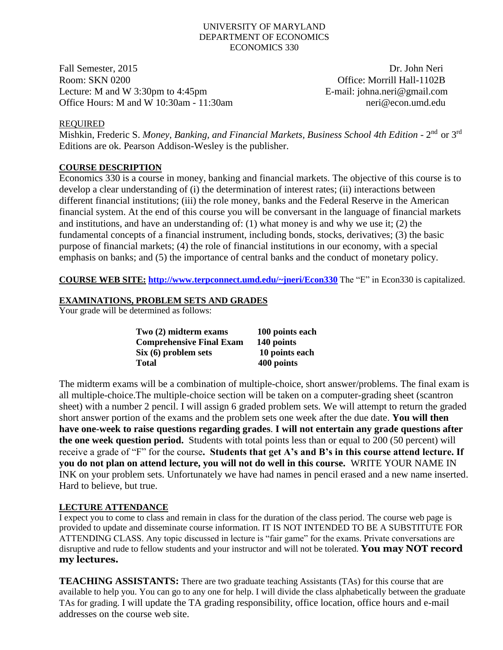#### UNIVERSITY OF MARYLAND DEPARTMENT OF ECONOMICS ECONOMICS 330

Fall Semester, 2015 Dr. John Neri Room: SKN 0200 **Office: Morrill Hall-1102B** Lecture: M and W 3:30pm to 4:45pm E-mail: johna.neri@gmail.com Office Hours: M and W 10:30am - 11:30am neri@econ.umd.edu

### REQUIRED

Mishkin, Frederic S. Money, Banking, and Financial Markets, Business School 4th Edition - 2<sup>nd</sup> or 3<sup>rd</sup> Editions are ok. Pearson Addison-Wesley is the publisher.

# **COURSE DESCRIPTION**

Economics 330 is a course in money, banking and financial markets. The objective of this course is to develop a clear understanding of (i) the determination of interest rates; (ii) interactions between different financial institutions; (iii) the role money, banks and the Federal Reserve in the American financial system. At the end of this course you will be conversant in the language of financial markets and institutions, and have an understanding of: (1) what money is and why we use it; (2) the fundamental concepts of a financial instrument, including bonds, stocks, derivatives; (3) the basic purpose of financial markets; (4) the role of financial institutions in our economy, with a special emphasis on banks; and (5) the importance of central banks and the conduct of monetary policy.

**COURSE WEB SITE: [http://www.terpconnect.umd.edu/~jneri/Econ330](http://www.glue.umd.edu/~jneri/Econ330)** The "E" in Econ330 is capitalized.

### **EXAMINATIONS, PROBLEM SETS AND GRADES**

Your grade will be determined as follows:

| Two (2) midterm exams           | 100 points each |
|---------------------------------|-----------------|
| <b>Comprehensive Final Exam</b> | 140 points      |
| Six (6) problem sets            | 10 points each  |
| Total                           | 400 points      |

The midterm exams will be a combination of multiple-choice, short answer/problems. The final exam is all multiple-choice.The multiple-choice section will be taken on a computer-grading sheet (scantron sheet) with a number 2 pencil. I will assign 6 graded problem sets. We will attempt to return the graded short answer portion of the exams and the problem sets one week after the due date. **You will then have one-week to raise questions regarding grades**. **I will not entertain any grade questions after the one week question period.** Students with total points less than or equal to 200 (50 percent) will receive a grade of "F" for the course**. Students that get A's and B's in this course attend lecture. If you do not plan on attend lecture, you will not do well in this course.** WRITE YOUR NAME IN INK on your problem sets. Unfortunately we have had names in pencil erased and a new name inserted. Hard to believe, but true.

# **LECTURE ATTENDANCE**

I expect you to come to class and remain in class for the duration of the class period. The course web page is provided to update and disseminate course information. IT IS NOT INTENDED TO BE A SUBSTITUTE FOR ATTENDING CLASS. Any topic discussed in lecture is "fair game" for the exams. Private conversations are disruptive and rude to fellow students and your instructor and will not be tolerated. **You may NOT record my lectures.**

**TEACHING ASSISTANTS:** There are two graduate teaching Assistants (TAs) for this course that are available to help you. You can go to any one for help. I will divide the class alphabetically between the graduate TAs for grading. I will update the TA grading responsibility, office location, office hours and e-mail addresses on the course web site.